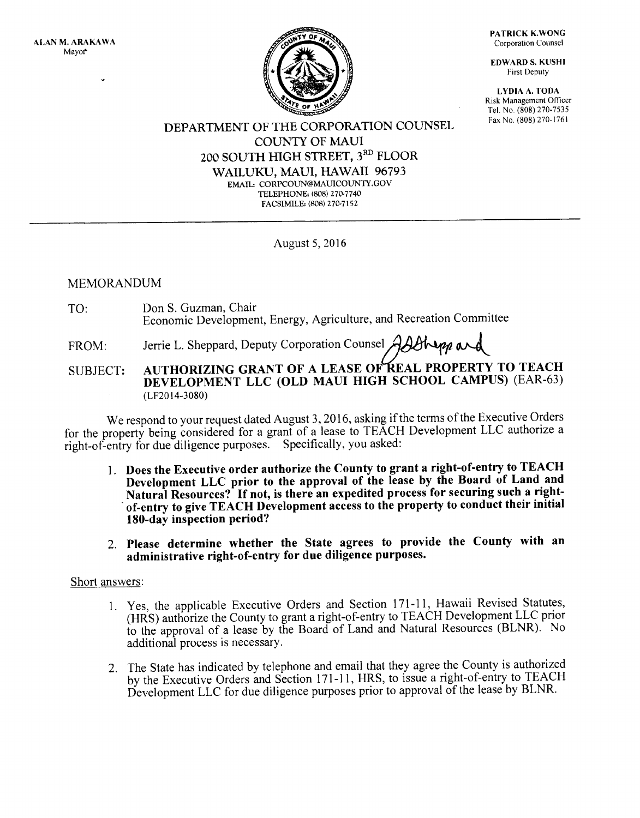

PATRICK K.WONG Corporation Counsel

EDWARD S, KUSHI First Deputy

LYDIA A. TODA Risk Management Officer Tel. No. (808) 270-7535 Fax No. (808) 270-1761

### DEPARTMENT OF THE CORPORATION COLINSEL COLINTY OF MAUI 200 SOUTH HIGH STREET, 3RD FLOOR WAILUKU, MAUI, HAWAII 96793 EMAIL, CORPCOLIN@MAL'ICOLTNTY.COV TELEPHONE: (808) 270-7740 FACSIMILE: (808) 270-7152

August 5,2016

## MEMORANDUM

TO: Don S. Guzman, Chair Economic Development, Energy, Agriculture, and Recreation Committee

FROM: Jerrie L. Sheppard, Deputy Corporation Counsel AABNem and

# SUBJECT: AUTHORIZING GRANT OF A LEASE OF REAL PROPERTY TO TEACH DEVELOPMENT LLC (OLD MAUI HIGH SCHOOL CAMPUS) (EAR-63) (LF20 l4-3080)

We respond to your request dated August 3, 2016, asking if the terms of the Executive Orders for the property being considered for a grant of a lease to TEACH Development LLC authorize a right-of-eniry for due diligence purposes. Specifically, you asked:

- 1. Does the Executive order authorize the County to grant a right-of-entry to TEACH Development LLC prior to the approval of the lease by the Board of Land and<br>Natural Resources? If not, is there an expedited process for securing such a rightof-entry to give TEACH Development access to the property to conduct their initial 180-day inspection period?
- 2. Please determine whether the State agrees to provide the County with an administrative right-of-entry for due diligence purposes.

## Short answers:

- 1. Yes, the applicable Executive Orders and Section l7l-ll, Hawaii Revised Statutes, (HRS) authorize the County to grant a right-of-enlry toTEACH Development LLC prior to the approval of a lease by the Board of Land and Natural Resources (BLNR). No additional process is necessarY.
- 2. The State has indicated by telephone and email that they agree the County is authorized by the Executive Orders and Section 171-11, HRS, to issue a right-of-entry to TEACH Development LLC for due diligence purposes prior to approval of the lease by BLNR'